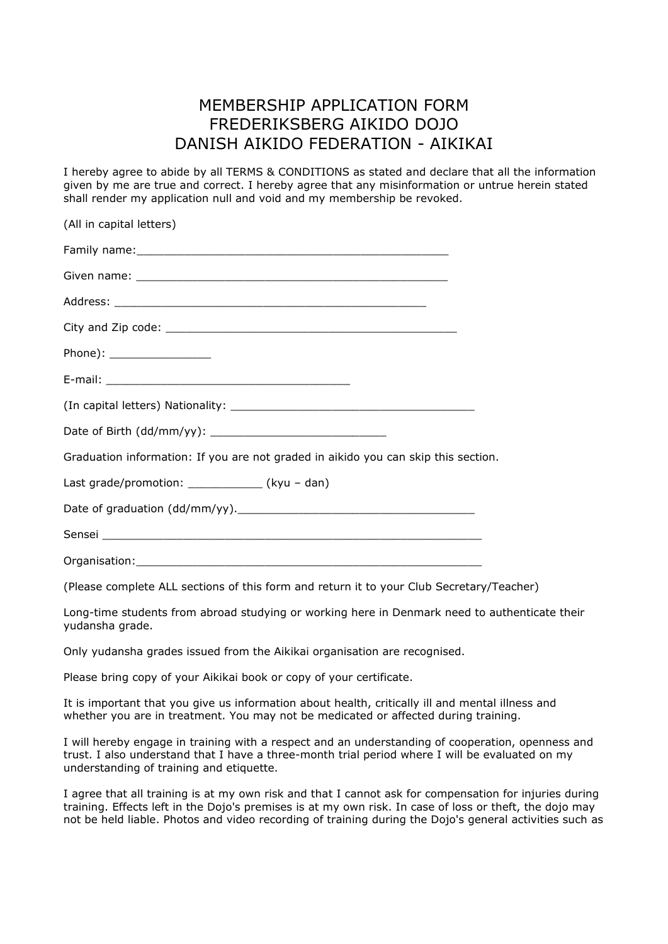## MEMBERSHIP APPLICATION FORM FREDERIKSBERG AIKIDO DOJO DANISH AIKIDO FEDERATION - AIKIKAI

I hereby agree to abide by all TERMS & CONDITIONS as stated and declare that all the information given by me are true and correct. I hereby agree that any misinformation or untrue herein stated shall render my application null and void and my membership be revoked.

| (All in capital letters)                                                           |
|------------------------------------------------------------------------------------|
|                                                                                    |
|                                                                                    |
|                                                                                    |
|                                                                                    |
| Phone): __________________                                                         |
|                                                                                    |
|                                                                                    |
|                                                                                    |
| Graduation information: If you are not graded in aikido you can skip this section. |
| Last grade/promotion: ______________(kyu - dan)                                    |
|                                                                                    |
|                                                                                    |
|                                                                                    |

(Please complete ALL sections of this form and return it to your Club Secretary/Teacher)

Long-time students from abroad studying or working here in Denmark need to authenticate their yudansha grade.

Only yudansha grades issued from the Aikikai organisation are recognised.

Please bring copy of your Aikikai book or copy of your certificate.

It is important that you give us information about health, critically ill and mental illness and whether you are in treatment. You may not be medicated or affected during training.

I will hereby engage in training with a respect and an understanding of cooperation, openness and trust. I also understand that I have a three-month trial period where I will be evaluated on my understanding of training and etiquette.

I agree that all training is at my own risk and that I cannot ask for compensation for injuries during training. Effects left in the Dojo's premises is at my own risk. In case of loss or theft, the dojo may not be held liable. Photos and video recording of training during the Dojo's general activities such as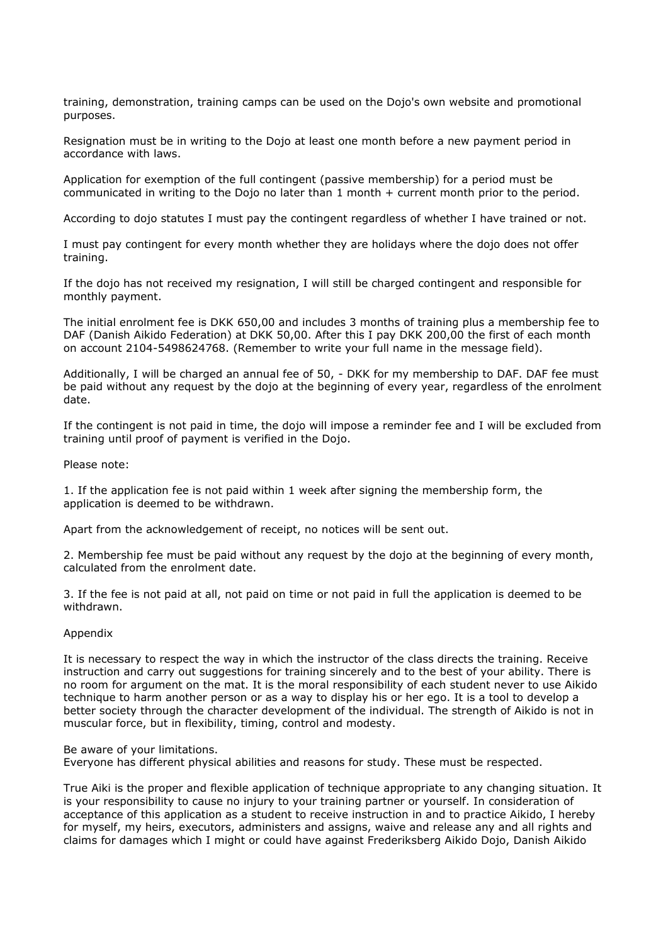training, demonstration, training camps can be used on the Dojo's own website and promotional purposes.

Resignation must be in writing to the Dojo at least one month before a new payment period in accordance with laws.

Application for exemption of the full contingent (passive membership) for a period must be communicated in writing to the Dojo no later than 1 month + current month prior to the period.

According to dojo statutes I must pay the contingent regardless of whether I have trained or not.

I must pay contingent for every month whether they are holidays where the dojo does not offer training.

If the dojo has not received my resignation, I will still be charged contingent and responsible for monthly payment.

The initial enrolment fee is DKK 650,00 and includes 3 months of training plus a membership fee to DAF (Danish Aikido Federation) at DKK 50,00. After this I pay DKK 200,00 the first of each month on account 2104-5498624768. (Remember to write your full name in the message field).

Additionally, I will be charged an annual fee of 50, - DKK for my membership to DAF. DAF fee must be paid without any request by the dojo at the beginning of every year, regardless of the enrolment date.

If the contingent is not paid in time, the dojo will impose a reminder fee and I will be excluded from training until proof of payment is verified in the Dojo.

Please note:

1. If the application fee is not paid within 1 week after signing the membership form, the application is deemed to be withdrawn.

Apart from the acknowledgement of receipt, no notices will be sent out.

2. Membership fee must be paid without any request by the dojo at the beginning of every month, calculated from the enrolment date.

3. If the fee is not paid at all, not paid on time or not paid in full the application is deemed to be withdrawn.

## Appendix

It is necessary to respect the way in which the instructor of the class directs the training. Receive instruction and carry out suggestions for training sincerely and to the best of your ability. There is no room for argument on the mat. It is the moral responsibility of each student never to use Aikido technique to harm another person or as a way to display his or her ego. It is a tool to develop a better society through the character development of the individual. The strength of Aikido is not in muscular force, but in flexibility, timing, control and modesty.

Be aware of your limitations.

Everyone has different physical abilities and reasons for study. These must be respected.

True Aiki is the proper and flexible application of technique appropriate to any changing situation. It is your responsibility to cause no injury to your training partner or yourself. In consideration of acceptance of this application as a student to receive instruction in and to practice Aikido, I hereby for myself, my heirs, executors, administers and assigns, waive and release any and all rights and claims for damages which I might or could have against Frederiksberg Aikido Dojo, Danish Aikido